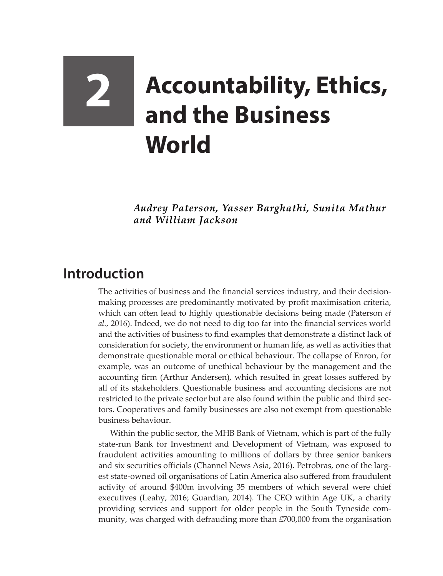## **2 Accountability, Ethics, and the Business World**

*Audrey Paterson, Yasser Barghathi, Sunita Mathur and William Jackson*

## **Introduction**

The activities of business and the financial services industry, and their decisionmaking processes are predominantly motivated by profit maximisation criteria, which can often lead to highly questionable decisions being made (Paterson *et al.*, 2016). Indeed, we do not need to dig too far into the financial services world and the activities of business to find examples that demonstrate a distinct lack of consideration for society, the environment or human life, as well as activities that demonstrate questionable moral or ethical behaviour. The collapse of Enron, for example, was an outcome of unethical behaviour by the management and the accounting firm (Arthur Andersen), which resulted in great losses suffered by all of its stakeholders. Questionable business and accounting decisions are not restricted to the private sector but are also found within the public and third sectors. Cooperatives and family businesses are also not exempt from questionable business behaviour.

Within the public sector, the MHB Bank of Vietnam, which is part of the fully state-run Bank for Investment and Development of Vietnam, was exposed to fraudulent activities amounting to millions of dollars by three senior bankers and six securities officials (Channel News Asia, 2016). Petrobras, one of the largest state-owned oil organisations of Latin America also suffered from fraudulent activity of around \$400m involving 35 members of which several were chief executives (Leahy, 2016; Guardian, 2014). The CEO within Age UK, a charity providing services and support for older people in the South Tyneside community, was charged with defrauding more than £700,000 from the organisation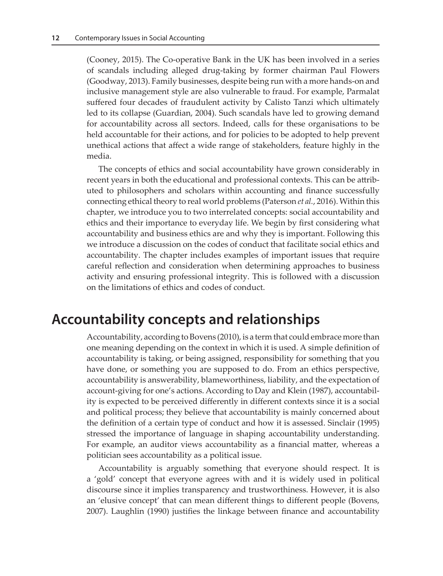(Cooney, 2015). The Co-operative Bank in the UK has been involved in a series of scandals including alleged drug-taking by former chairman Paul Flowers (Goodway, 2013). Family businesses, despite being run with a more hands-on and inclusive management style are also vulnerable to fraud. For example, Parmalat suffered four decades of fraudulent activity by Calisto Tanzi which ultimately led to its collapse (Guardian, 2004). Such scandals have led to growing demand for accountability across all sectors. Indeed, calls for these organisations to be held accountable for their actions, and for policies to be adopted to help prevent unethical actions that affect a wide range of stakeholders, feature highly in the media.

The concepts of ethics and social accountability have grown considerably in recent years in both the educational and professional contexts. This can be attributed to philosophers and scholars within accounting and finance successfully connecting ethical theory to real world problems (Paterson *et al.*, 2016). Within this chapter, we introduce you to two interrelated concepts: social accountability and ethics and their importance to everyday life. We begin by first considering what accountability and business ethics are and why they is important. Following this we introduce a discussion on the codes of conduct that facilitate social ethics and accountability. The chapter includes examples of important issues that require careful reflection and consideration when determining approaches to business activity and ensuring professional integrity. This is followed with a discussion on the limitations of ethics and codes of conduct.

## **Accountability concepts and relationships**

Accountability, according to Bovens (2010), is a term that could embrace more than one meaning depending on the context in which it is used. A simple definition of accountability is taking, or being assigned, responsibility for something that you have done, or something you are supposed to do. From an ethics perspective, accountability is answerability, blameworthiness, liability, and the expectation of account-giving for one's actions. According to Day and Klein (1987), accountability is expected to be perceived differently in different contexts since it is a social and political process; they believe that accountability is mainly concerned about the definition of a certain type of conduct and how it is assessed. Sinclair (1995) stressed the importance of language in shaping accountability understanding. For example, an auditor views accountability as a financial matter, whereas a politician sees accountability as a political issue.

Accountability is arguably something that everyone should respect. It is a 'gold' concept that everyone agrees with and it is widely used in political discourse since it implies transparency and trustworthiness. However, it is also an 'elusive concept' that can mean different things to different people (Bovens, 2007). Laughlin (1990) justifies the linkage between finance and accountability